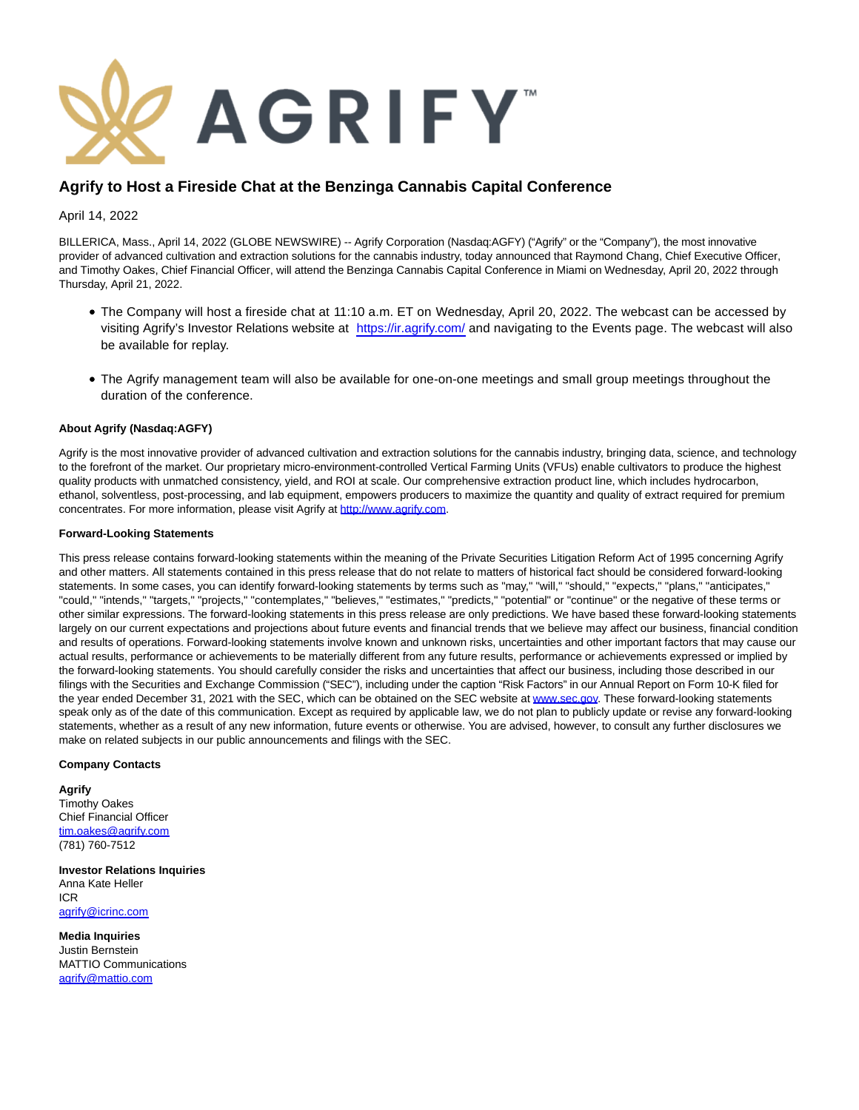

## **Agrify to Host a Fireside Chat at the Benzinga Cannabis Capital Conference**

April 14, 2022

BILLERICA, Mass., April 14, 2022 (GLOBE NEWSWIRE) -- Agrify Corporation (Nasdaq:AGFY) ("Agrify" or the "Company"), the most innovative provider of advanced cultivation and extraction solutions for the cannabis industry, today announced that Raymond Chang, Chief Executive Officer, and Timothy Oakes, Chief Financial Officer, will attend the Benzinga Cannabis Capital Conference in Miami on Wednesday, April 20, 2022 through Thursday, April 21, 2022.

- The Company will host a fireside chat at 11:10 a.m. ET on Wednesday, April 20, 2022. The webcast can be accessed by visiting Agrify's Investor Relations website at [https://ir.agrify.com/ a](https://ir.agrify.com/)nd navigating to the Events page. The webcast will also be available for replay.
- The Agrify management team will also be available for one-on-one meetings and small group meetings throughout the duration of the conference.

## **About Agrify (Nasdaq:AGFY)**

Agrify is the most innovative provider of advanced cultivation and extraction solutions for the cannabis industry, bringing data, science, and technology to the forefront of the market. Our proprietary micro-environment-controlled Vertical Farming Units (VFUs) enable cultivators to produce the highest quality products with unmatched consistency, yield, and ROI at scale. Our comprehensive extraction product line, which includes hydrocarbon, ethanol, solventless, post-processing, and lab equipment, empowers producers to maximize the quantity and quality of extract required for premium concentrates. For more information, please visit Agrify at [http://www.agrify.com.](https://www.globenewswire.com/Tracker?data=FphaTjPUJIWtFc3v1OTmKyYJGkigIPM2yU9VUXtrktwfa35-oEjx93UK0HRf4PxgK_H3qBUhXiWlSfapJHQe6KgqKxlZjwoSyOGv3Badz-M=)

## **Forward-Looking Statements**

This press release contains forward-looking statements within the meaning of the Private Securities Litigation Reform Act of 1995 concerning Agrify and other matters. All statements contained in this press release that do not relate to matters of historical fact should be considered forward-looking statements. In some cases, you can identify forward-looking statements by terms such as "may," "will," "should," "expects," "plans," "anticipates," "could," "intends," "targets," "projects," "contemplates," "believes," "estimates," "predicts," "potential" or "continue" or the negative of these terms or other similar expressions. The forward-looking statements in this press release are only predictions. We have based these forward-looking statements largely on our current expectations and projections about future events and financial trends that we believe may affect our business, financial condition and results of operations. Forward-looking statements involve known and unknown risks, uncertainties and other important factors that may cause our actual results, performance or achievements to be materially different from any future results, performance or achievements expressed or implied by the forward-looking statements. You should carefully consider the risks and uncertainties that affect our business, including those described in our filings with the Securities and Exchange Commission ("SEC"), including under the caption "Risk Factors" in our Annual Report on Form 10-K filed for the year ended December 31, 2021 with the SEC, which can be obtained on the SEC website a[t www.sec.gov.](https://www.globenewswire.com/Tracker?data=ReXgyrT_M8koVEF3ib9oHfyYPNmyRk382fLAtW6_LjgGCKzAMYK-TSQvuL-qaWSs14WJOEYXGAuQ1Gj_cvKHtg==) These forward-looking statements speak only as of the date of this communication. Except as required by applicable law, we do not plan to publicly update or revise any forward-looking statements, whether as a result of any new information, future events or otherwise. You are advised, however, to consult any further disclosures we make on related subjects in our public announcements and filings with the SEC.

## **Company Contacts**

**Agrify**  Timothy Oakes Chief Financial Officer [tim.oakes@agrify.com](https://www.globenewswire.com/Tracker?data=He_mKT0VEXnaUIjl-CkxDykai6IVLRAr-WxQy1aEN6nAW2150gv2UzJkpFP6JxPdKO9N4_JcwnUxqymFxKNqhHzgG2F39u9_51ItHtCwKR4=) (781) 760-7512

**Investor Relations Inquiries** Anna Kate Heller ICR [agrify@icrinc.com](https://www.globenewswire.com/Tracker?data=HCMqWPYLyTrGq_gV5uqelBsndepTNiFdqDrH_KWtjefCAqWcn9Mg-Pnc6hRYbxl_KlrOXSSXZRd_vle91J48Vg==)

**Media Inquiries** Justin Bernstein MATTIO Communications [agrify@mattio.com](https://www.globenewswire.com/Tracker?data=HCMqWPYLyTrGq_gV5uqelDMP-ZRT4knYN1HHlLlzMZPeUJcUYs8tTT_ivL561fLeS9FQAJsFhjIF4oF2SfGX_A==)